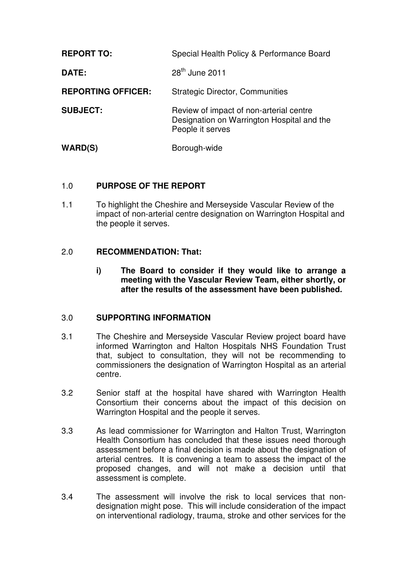| <b>REPORT TO:</b>         | Special Health Policy & Performance Board                                                                 |
|---------------------------|-----------------------------------------------------------------------------------------------------------|
| <b>DATE:</b>              | $28th$ June 2011                                                                                          |
| <b>REPORTING OFFICER:</b> | <b>Strategic Director, Communities</b>                                                                    |
| <b>SUBJECT:</b>           | Review of impact of non-arterial centre<br>Designation on Warrington Hospital and the<br>People it serves |
| WARD(S)                   | Borough-wide                                                                                              |

#### 1.0 **PURPOSE OF THE REPORT**

1.1 To highlight the Cheshire and Merseyside Vascular Review of the impact of non-arterial centre designation on Warrington Hospital and the people it serves.

#### 2.0 **RECOMMENDATION: That:**

**i) The Board to consider if they would like to arrange a meeting with the Vascular Review Team, either shortly, or after the results of the assessment have been published.** 

## 3.0 **SUPPORTING INFORMATION**

- 3.1 The Cheshire and Merseyside Vascular Review project board have informed Warrington and Halton Hospitals NHS Foundation Trust that, subject to consultation, they will not be recommending to commissioners the designation of Warrington Hospital as an arterial centre.
- 3.2 Senior staff at the hospital have shared with Warrington Health Consortium their concerns about the impact of this decision on Warrington Hospital and the people it serves.
- 3.3 As lead commissioner for Warrington and Halton Trust, Warrington Health Consortium has concluded that these issues need thorough assessment before a final decision is made about the designation of arterial centres. It is convening a team to assess the impact of the proposed changes, and will not make a decision until that assessment is complete.
- 3.4 The assessment will involve the risk to local services that nondesignation might pose. This will include consideration of the impact on interventional radiology, trauma, stroke and other services for the